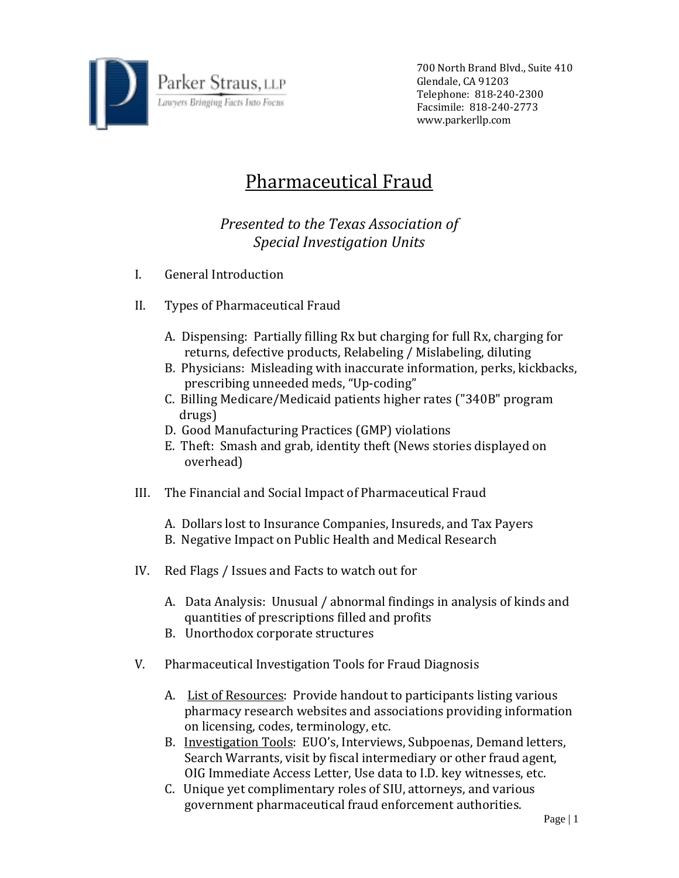

700 North Brand Blvd., Suite 410 Glendale, CA 91203 Telephone: 818‐240‐2300 Facsimile: 818‐240‐2773 www.parkerllp.com

## Pharmaceutical Fraud

## *Presented to the Texas Association of Special Investigation Units*

- I. General Introduction
- II. Types of Pharmaceutical Fraud
	- A. Dispensing: Partially filling Rx but charging for full Rx, charging for returns, defective products, Relabeling / Mislabeling, diluting
	- B. Physicians: Misleading with inaccurate information, perks, kickbacks, prescribing unneeded meds, "Up‐coding"
	- C. Billing Medicare/Medicaid patients higher rates ("340B" program drugs)
	- D. Good Manufacturing Practices (GMP) violations
	- E. Theft: Smash and grab, identity theft (News stories displayed on overhead)
- III. The Financial and Social Impact of Pharmaceutical Fraud
	- A. Dollars lost to Insurance Companies, Insureds, and Tax Payers
	- B. Negative Impact on Public Health and Medical Research
- IV. Red Flags / Issues and Facts to watch out for
	- A. Data Analysis: Unusual / abnormal findings in analysis of kinds and quantities of prescriptions filled and profits
	- B. Unorthodox corporate structures
- V. Pharmaceutical Investigation Tools for Fraud Diagnosis
	- A. List of Resources: Provide handout to participants listing various pharmacy research websites and associations providing information on licensing, codes, terminology, etc.
	- B. Investigation Tools: EUO's, Interviews, Subpoenas, Demand letters, Search Warrants, visit by fiscal intermediary or other fraud agent, OIG Immediate Access Letter, Use data to I.D. key witnesses, etc.
	- C. Unique yet complimentary roles of SIU, attorneys, and various government pharmaceutical fraud enforcement authorities.